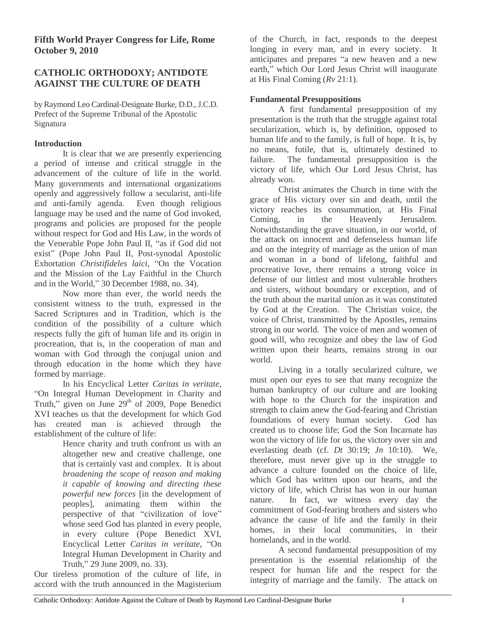# **CATHOLIC ORTHODOXY; ANTIDOTE AGAINST THE CULTURE OF DEATH**

by Raymond Leo Cardinal-Designate Burke, D.D., J.C.D. Prefect of the Supreme Tribunal of the Apostolic Signatura

# **Introduction**

It is clear that we are presently experiencing a period of intense and critical struggle in the advancement of the culture of life in the world. Many governments and international organizations openly and aggressively follow a secularist, anti-life and anti-family agenda. Even though religious language may be used and the name of God invoked, programs and policies are proposed for the people without respect for God and His Law, in the words of the Venerable Pope John Paul II, "as if God did not exist" (Pope John Paul II, Post-synodal Apostolic Exhortation *Christifideles laici*, "On the Vocation and the Mission of the Lay Faithful in the Church and in the World," 30 December 1988, no. 34).

Now more than ever, the world needs the consistent witness to the truth, expressed in the Sacred Scriptures and in Tradition, which is the condition of the possibility of a culture which respects fully the gift of human life and its origin in procreation, that is, in the cooperation of man and woman with God through the conjugal union and through education in the home which they have formed by marriage.

In his Encyclical Letter *Caritas in veritate*, "On Integral Human Development in Charity and Truth," given on June  $29<sup>th</sup>$  of 2009, Pope Benedict XVI teaches us that the development for which God has created man is achieved through the establishment of the culture of life:

Hence charity and truth confront us with an altogether new and creative challenge, one that is certainly vast and complex. It is about *broadening the scope of reason and making it capable of knowing and directing these powerful new forces* [in the development of peoples], animating them within the perspective of that "civilization of love" whose seed God has planted in every people, in every culture (Pope Benedict XVI, Encyclical Letter *Caritas in veritate*, "On Integral Human Development in Charity and Truth," 29 June 2009, no. 33).

Our tireless promotion of the culture of life, in accord with the truth announced in the Magisterium of the Church, in fact, responds to the deepest longing in every man, and in every society. It anticipates and prepares "a new heaven and a new earth," which Our Lord Jesus Christ will inaugurate at His Final Coming (*Rv* 21:1).

# **Fundamental Presuppositions**

A first fundamental presupposition of my presentation is the truth that the struggle against total secularization, which is, by definition, opposed to human life and to the family, is full of hope. It is, by no means, futile, that is, ultimately destined to failure. The fundamental presupposition is the victory of life, which Our Lord Jesus Christ, has already won.

Christ animates the Church in time with the grace of His victory over sin and death, until the victory reaches its consummation, at His Final Coming, in the Heavenly Jerusalem. Notwithstanding the grave situation, in our world, of the attack on innocent and defenseless human life and on the integrity of marriage as the union of man and woman in a bond of lifelong, faithful and procreative love, there remains a strong voice in defense of our littlest and most vulnerable brothers and sisters, without boundary or exception, and of the truth about the marital union as it was constituted by God at the Creation. The Christian voice, the voice of Christ, transmitted by the Apostles, remains strong in our world. The voice of men and women of good will, who recognize and obey the law of God written upon their hearts, remains strong in our world.

Living in a totally secularized culture, we must open our eyes to see that many recognize the human bankruptcy of our culture and are looking with hope to the Church for the inspiration and strength to claim anew the God-fearing and Christian foundations of every human society. God has created us to choose life; God the Son Incarnate has won the victory of life for us, the victory over sin and everlasting death (cf. *Dt* 30:19; *Jn* 10:10). We, therefore, must never give up in the struggle to advance a culture founded on the choice of life, which God has written upon our hearts, and the victory of life, which Christ has won in our human nature. In fact, we witness every day the commitment of God-fearing brothers and sisters who advance the cause of life and the family in their homes, in their local communities, in their homelands, and in the world.

A second fundamental presupposition of my presentation is the essential relationship of the respect for human life and the respect for the integrity of marriage and the family. The attack on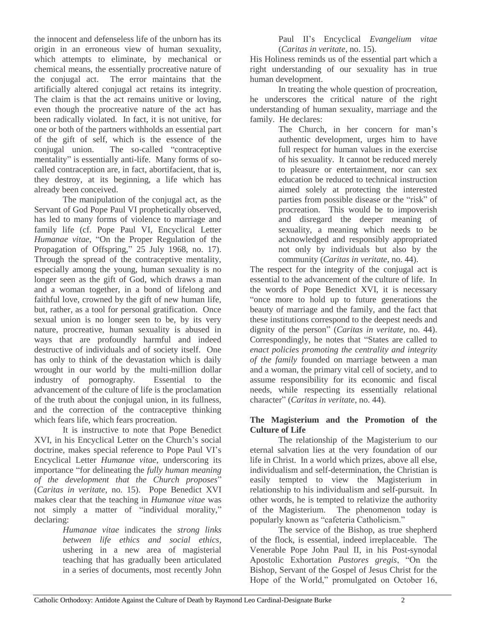the innocent and defenseless life of the unborn has its origin in an erroneous view of human sexuality, which attempts to eliminate, by mechanical or chemical means, the essentially procreative nature of the conjugal act. The error maintains that the artificially altered conjugal act retains its integrity. The claim is that the act remains unitive or loving, even though the procreative nature of the act has been radically violated. In fact, it is not unitive, for one or both of the partners withholds an essential part of the gift of self, which is the essence of the conjugal union. The so-called "contraceptive mentality" is essentially anti-life. Many forms of socalled contraception are, in fact, abortifacient, that is, they destroy, at its beginning, a life which has already been conceived.

The manipulation of the conjugal act, as the Servant of God Pope Paul VI prophetically observed, has led to many forms of violence to marriage and family life (cf. Pope Paul VI, Encyclical Letter *Humanae vitae*, "On the Proper Regulation of the Propagation of Offspring," 25 July 1968, no. 17). Through the spread of the contraceptive mentality, especially among the young, human sexuality is no longer seen as the gift of God, which draws a man and a woman together, in a bond of lifelong and faithful love, crowned by the gift of new human life, but, rather, as a tool for personal gratification. Once sexual union is no longer seen to be, by its very nature, procreative, human sexuality is abused in ways that are profoundly harmful and indeed destructive of individuals and of society itself. One has only to think of the devastation which is daily wrought in our world by the multi-million dollar industry of pornography. Essential to the advancement of the culture of life is the proclamation of the truth about the conjugal union, in its fullness, and the correction of the contraceptive thinking which fears life, which fears procreation.

It is instructive to note that Pope Benedict XVI, in his Encyclical Letter on the Church's social doctrine, makes special reference to Pope Paul VI's Encyclical Letter *Humanae vitae*, underscoring its importance "for delineating the *fully human meaning of the development that the Church proposes*" (*Caritas in veritate*, no. 15). Pope Benedict XVI makes clear that the teaching in *Humanae vitae* was not simply a matter of "individual morality," declaring:

> *Humanae vitae* indicates the *strong links between life ethics and social ethics*, ushering in a new area of magisterial teaching that has gradually been articulated in a series of documents, most recently John

Paul II's Encyclical *Evangelium vitae* (*Caritas in veritate*, no. 15).

His Holiness reminds us of the essential part which a right understanding of our sexuality has in true human development.

In treating the whole question of procreation, he underscores the critical nature of the right understanding of human sexuality, marriage and the family. He declares:

The Church, in her concern for man's authentic development, urges him to have full respect for human values in the exercise of his sexuality. It cannot be reduced merely to pleasure or entertainment, nor can sex education be reduced to technical instruction aimed solely at protecting the interested parties from possible disease or the "risk" of procreation. This would be to impoverish and disregard the deeper meaning of sexuality, a meaning which needs to be acknowledged and responsibly appropriated not only by individuals but also by the community (*Caritas in veritate*, no. 44).

The respect for the integrity of the conjugal act is essential to the advancement of the culture of life. In the words of Pope Benedict XVI, it is necessary "once more to hold up to future generations the beauty of marriage and the family, and the fact that these institutions correspond to the deepest needs and dignity of the person" (*Caritas in veritate*, no. 44). Correspondingly, he notes that "States are called to *enact policies promoting the centrality and integrity of the family* founded on marriage between a man and a woman, the primary vital cell of society, and to assume responsibility for its economic and fiscal needs, while respecting its essentially relational character" (*Caritas in veritate*, no. 44).

### **The Magisterium and the Promotion of the Culture of Life**

The relationship of the Magisterium to our eternal salvation lies at the very foundation of our life in Christ. In a world which prizes, above all else, individualism and self-determination, the Christian is easily tempted to view the Magisterium in relationship to his individualism and self-pursuit. In other words, he is tempted to relativize the authority of the Magisterium. The phenomenon today is popularly known as "cafeteria Catholicism."

The service of the Bishop, as true shepherd of the flock, is essential, indeed irreplaceable. The Venerable Pope John Paul II, in his Post-synodal Apostolic Exhortation *Pastores gregis*, "On the Bishop, Servant of the Gospel of Jesus Christ for the Hope of the World," promulgated on October 16,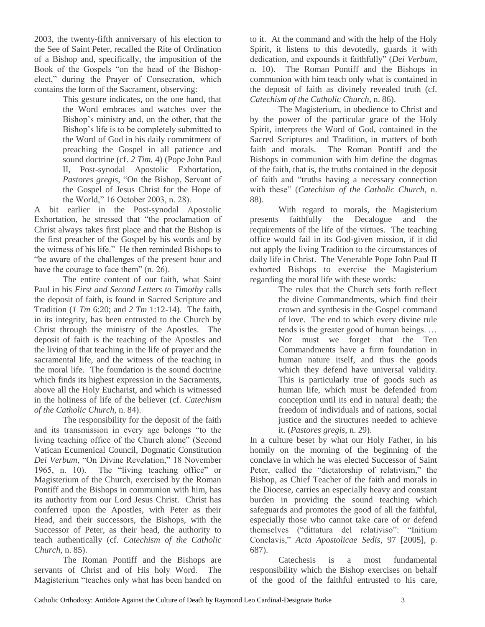2003, the twenty-fifth anniversary of his election to the See of Saint Peter, recalled the Rite of Ordination of a Bishop and, specifically, the imposition of the Book of the Gospels "on the head of the Bishopelect," during the Prayer of Consecration, which contains the form of the Sacrament, observing:

> This gesture indicates, on the one hand, that the Word embraces and watches over the Bishop's ministry and, on the other, that the Bishop's life is to be completely submitted to the Word of God in his daily commitment of preaching the Gospel in all patience and sound doctrine (cf. *2 Tim.* 4) (Pope John Paul II, Post-synodal Apostolic Exhortation, *Pastores gregis,* "On the Bishop, Servant of the Gospel of Jesus Christ for the Hope of the World," 16 October 2003, n. 28).

A bit earlier in the Post-synodal Apostolic Exhortation, he stressed that "the proclamation of Christ always takes first place and that the Bishop is the first preacher of the Gospel by his words and by the witness of his life." He then reminded Bishops to "be aware of the challenges of the present hour and have the courage to face them" (n. 26).

The entire content of our faith, what Saint Paul in his *First and Second Letters to Timothy* calls the deposit of faith, is found in Sacred Scripture and Tradition (*1 Tm* 6:20; and *2 Tm* 1:12-14). The faith, in its integrity, has been entrusted to the Church by Christ through the ministry of the Apostles. The deposit of faith is the teaching of the Apostles and the living of that teaching in the life of prayer and the sacramental life, and the witness of the teaching in the moral life. The foundation is the sound doctrine which finds its highest expression in the Sacraments, above all the Holy Eucharist, and which is witnessed in the holiness of life of the believer (cf. *Catechism of the Catholic Church*, n. 84).

The responsibility for the deposit of the faith and its transmission in every age belongs "to the living teaching office of the Church alone" (Second Vatican Ecumenical Council, Dogmatic Constitution *Dei Verbum*, "On Divine Revelation," 18 November 1965, n. 10). The "living teaching office" or Magisterium of the Church, exercised by the Roman Pontiff and the Bishops in communion with him, has its authority from our Lord Jesus Christ. Christ has conferred upon the Apostles, with Peter as their Head, and their successors, the Bishops, with the Successor of Peter, as their head, the authority to teach authentically (cf. *Catechism of the Catholic Church*, n. 85).

The Roman Pontiff and the Bishops are servants of Christ and of His holy Word. The Magisterium "teaches only what has been handed on to it. At the command and with the help of the Holy Spirit, it listens to this devotedly, guards it with dedication, and expounds it faithfully" (*Dei Verbum*, n. 10). The Roman Pontiff and the Bishops in communion with him teach only what is contained in the deposit of faith as divinely revealed truth (cf. *Catechism of the Catholic Church*, n. 86).

The Magisterium, in obedience to Christ and by the power of the particular grace of the Holy Spirit, interprets the Word of God, contained in the Sacred Scriptures and Tradition, in matters of both faith and morals. The Roman Pontiff and the Bishops in communion with him define the dogmas of the faith, that is, the truths contained in the deposit of faith and "truths having a necessary connection with these" (*Catechism of the Catholic Church*, n. 88).

With regard to morals, the Magisterium presents faithfully the Decalogue and the requirements of the life of the virtues. The teaching office would fail in its God-given mission, if it did not apply the living Tradition to the circumstances of daily life in Christ. The Venerable Pope John Paul II exhorted Bishops to exercise the Magisterium regarding the moral life with these words:

The rules that the Church sets forth reflect the divine Commandments, which find their crown and synthesis in the Gospel command of love. The end to which every divine rule tends is the greater good of human beings. … Nor must we forget that the Ten Commandments have a firm foundation in human nature itself, and thus the goods which they defend have universal validity. This is particularly true of goods such as human life, which must be defended from conception until its end in natural death; the freedom of individuals and of nations, social justice and the structures needed to achieve it. (*Pastores gregis*, n. 29).

In a culture beset by what our Holy Father, in his homily on the morning of the beginning of the conclave in which he was elected Successor of Saint Peter, called the "dictatorship of relativism," the Bishop, as Chief Teacher of the faith and morals in the Diocese, carries an especially heavy and constant burden in providing the sound teaching which safeguards and promotes the good of all the faithful, especially those who cannot take care of or defend themselves ("dittatura del relativiso": "Initium Conclavis," *Acta Apostolicae Sedis*, 97 [2005], p. 687).

Catechesis is a most fundamental responsibility which the Bishop exercises on behalf of the good of the faithful entrusted to his care,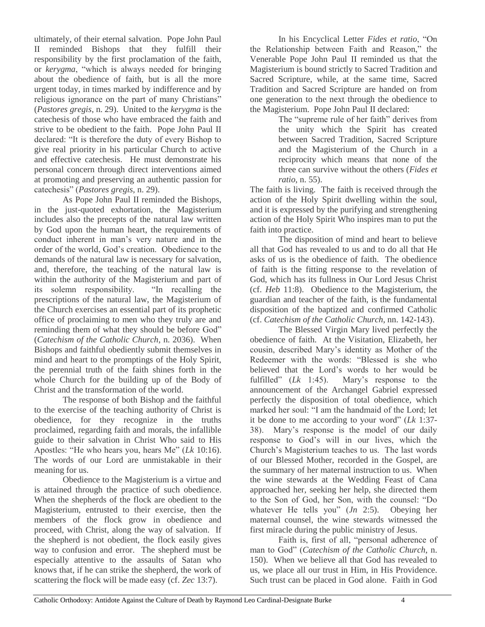ultimately, of their eternal salvation. Pope John Paul II reminded Bishops that they fulfill their responsibility by the first proclamation of the faith, or *kerygma*, "which is always needed for bringing about the obedience of faith, but is all the more urgent today, in times marked by indifference and by religious ignorance on the part of many Christians" (*Pastores gregis*, n. 29). United to the *kerygma* is the catechesis of those who have embraced the faith and strive to be obedient to the faith. Pope John Paul II declared: "It is therefore the duty of every Bishop to give real priority in his particular Church to active and effective catechesis. He must demonstrate his personal concern through direct interventions aimed at promoting and preserving an authentic passion for catechesis" (*Pastores gregis,* n. 29).

As Pope John Paul II reminded the Bishops, in the just-quoted exhortation, the Magisterium includes also the precepts of the natural law written by God upon the human heart, the requirements of conduct inherent in man's very nature and in the order of the world, God's creation. Obedience to the demands of the natural law is necessary for salvation, and, therefore, the teaching of the natural law is within the authority of the Magisterium and part of its solemn responsibility. "In recalling the prescriptions of the natural law, the Magisterium of the Church exercises an essential part of its prophetic office of proclaiming to men who they truly are and reminding them of what they should be before God" (*Catechism of the Catholic Church*, n. 2036). When Bishops and faithful obediently submit themselves in mind and heart to the promptings of the Holy Spirit, the perennial truth of the faith shines forth in the whole Church for the building up of the Body of Christ and the transformation of the world.

The response of both Bishop and the faithful to the exercise of the teaching authority of Christ is obedience, for they recognize in the truths proclaimed, regarding faith and morals, the infallible guide to their salvation in Christ Who said to His Apostles: "He who hears you, hears Me" (*Lk* 10:16). The words of our Lord are unmistakable in their meaning for us.

Obedience to the Magisterium is a virtue and is attained through the practice of such obedience. When the shepherds of the flock are obedient to the Magisterium, entrusted to their exercise, then the members of the flock grow in obedience and proceed, with Christ, along the way of salvation. If the shepherd is not obedient, the flock easily gives way to confusion and error. The shepherd must be especially attentive to the assaults of Satan who knows that, if he can strike the shepherd, the work of scattering the flock will be made easy (cf. *Zec* 13:7).

In his Encyclical Letter *Fides et ratio*, "On the Relationship between Faith and Reason," the Venerable Pope John Paul II reminded us that the Magisterium is bound strictly to Sacred Tradition and Sacred Scripture, while, at the same time, Sacred Tradition and Sacred Scripture are handed on from one generation to the next through the obedience to the Magisterium. Pope John Paul II declared:

> The "supreme rule of her faith" derives from the unity which the Spirit has created between Sacred Tradition, Sacred Scripture and the Magisterium of the Church in a reciprocity which means that none of the three can survive without the others (*Fides et ratio*, n. 55).

The faith is living. The faith is received through the action of the Holy Spirit dwelling within the soul, and it is expressed by the purifying and strengthening action of the Holy Spirit Who inspires man to put the faith into practice.

The disposition of mind and heart to believe all that God has revealed to us and to do all that He asks of us is the obedience of faith. The obedience of faith is the fitting response to the revelation of God, which has its fullness in Our Lord Jesus Christ (cf. *Heb* 11:8). Obedience to the Magisterium, the guardian and teacher of the faith, is the fundamental disposition of the baptized and confirmed Catholic (cf. *Catechism of the Catholic Church*, nn. 142-143).

The Blessed Virgin Mary lived perfectly the obedience of faith. At the Visitation, Elizabeth, her cousin, described Mary's identity as Mother of the Redeemer with the words: "Blessed is she who believed that the Lord's words to her would be fulfilled" (*Lk* 1:45). Mary's response to the announcement of the Archangel Gabriel expressed perfectly the disposition of total obedience, which marked her soul: "I am the handmaid of the Lord; let it be done to me according to your word" (*Lk* 1:37- 38). Mary's response is the model of our daily response to God's will in our lives, which the Church's Magisterium teaches to us. The last words of our Blessed Mother, recorded in the Gospel, are the summary of her maternal instruction to us. When the wine stewards at the Wedding Feast of Cana approached her, seeking her help, she directed them to the Son of God, her Son, with the counsel: "Do whatever He tells you" (*Jn* 2:5). Obeying her maternal counsel, the wine stewards witnessed the first miracle during the public ministry of Jesus.

Faith is, first of all, "personal adherence of man to God" (*Catechism of the Catholic Church*, n. 150). When we believe all that God has revealed to us, we place all our trust in Him, in His Providence. Such trust can be placed in God alone. Faith in God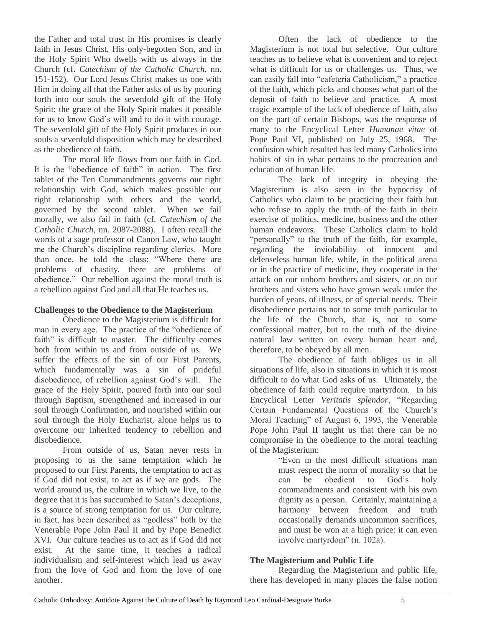the Father and total trust in His promises is clearly faith in Jesus Christ, His only-begotten Son, and in the Holy Spirit Who dwells with us always in the Church (cf. *Catechism of the Catholic Church*, nn. 151-152). Our Lord Jesus Christ makes us one with Him in doing all that the Father asks of us by pouring forth into our souls the sevenfold gift of the Holy Spirit: the grace of the Holy Spirit makes it possible for us to know God's will and to do it with courage. The sevenfold gift of the Holy Spirit produces in our souls a sevenfold disposition which may be described as the obedience of faith.

The moral life flows from our faith in God. It is the "obedience of faith" in action. The first tablet of the Ten Commandments governs our right relationship with God, which makes possible our right relationship with others and the world, governed by the second tablet. When we fail morally, we also fail in faith (cf. *Catechism of the Catholic Church*, nn. 2087-2088). I often recall the words of a sage professor of Canon Law, who taught me the Church's discipline regarding clerics. More than once, he told the class: "Where there are problems of chastity, there are problems of obedience." Our rebellion against the moral truth is a rebellion against God and all that He teaches us.

#### **Challenges to the Obedience to the Magisterium**

Obedience to the Magisterium is difficult for man in every age. The practice of the "obedience of faith" is difficult to master. The difficulty comes both from within us and from outside of us. We suffer the effects of the sin of our First Parents, which fundamentally was a sin of prideful disobedience, of rebellion against God's will. The grace of the Holy Spirit, poured forth into our soul through Baptism, strengthened and increased in our soul through Confirmation, and nourished within our soul through the Holy Eucharist, alone helps us to overcome our inherited tendency to rebellion and disobedience.

From outside of us, Satan never rests in proposing to us the same temptation which he proposed to our First Parents, the temptation to act as if God did not exist, to act as if we are gods. The world around us, the culture in which we live, to the degree that it is has succumbed to Satan's deceptions, is a source of strong temptation for us. Our culture, in fact, has been described as "godless" both by the Venerable Pope John Paul II and by Pope Benedict XVI. Our culture teaches us to act as if God did not exist. At the same time, it teaches a radical individualism and self-interest which lead us away from the love of God and from the love of one another.

Often the lack of obedience to the Magisterium is not total but selective. Our culture teaches us to believe what is convenient and to reject what is difficult for us or challenges us. Thus, we can easily fall into "cafeteria Catholicism," a practice of the faith, which picks and chooses what part of the deposit of faith to believe and practice. A most tragic example of the lack of obedience of faith, also on the part of certain Bishops, was the response of many to the Encyclical Letter *Humanae vitae* of Pope Paul VI, published on July 25, 1968. The confusion which resulted has led many Catholics into habits of sin in what pertains to the procreation and education of human life.

The lack of integrity in obeying the Magisterium is also seen in the hypocrisy of Catholics who claim to be practicing their faith but who refuse to apply the truth of the faith in their exercise of politics, medicine, business and the other human endeavors. These Catholics claim to hold "personally" to the truth of the faith, for example, regarding the inviolability of innocent and defenseless human life, while, in the political arena or in the practice of medicine, they cooperate in the attack on our unborn brothers and sisters, or on our brothers and sisters who have grown weak under the burden of years, of illness, or of special needs. Their disobedience pertains not to some truth particular to the life of the Church, that is, not to some confessional matter, but to the truth of the divine natural law written on every human heart and, therefore, to be obeyed by all men.

The obedience of faith obliges us in all situations of life, also in situations in which it is most difficult to do what God asks of us. Ultimately, the obedience of faith could require martyrdom. In his Encyclical Letter *Veritatis splendor*, "Regarding Certain Fundamental Questions of the Church's Moral Teaching" of August 6, 1993, the Venerable Pope John Paul II taught us that there can be no compromise in the obedience to the moral teaching of the Magisterium:

"Even in the most difficult situations man must respect the norm of morality so that he can be obedient to God's holy commandments and consistent with his own dignity as a person. Certainly, maintaining a harmony between freedom and truth occasionally demands uncommon sacrifices, and must be won at a high price: it can even involve martyrdom" (n. 102a).

#### **The Magisterium and Public Life**

Regarding the Magisterium and public life, there has developed in many places the false notion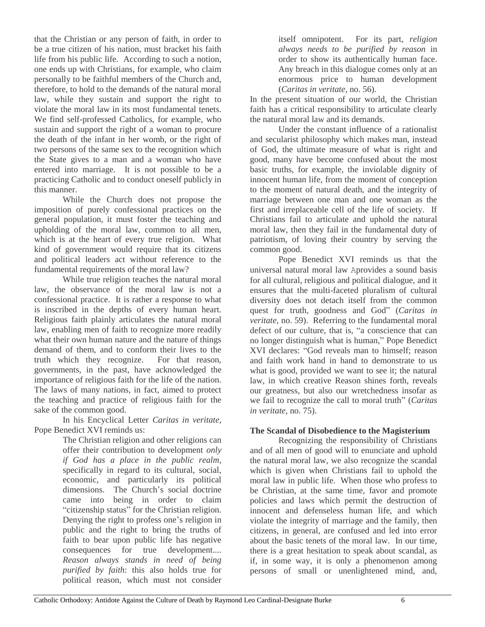that the Christian or any person of faith, in order to be a true citizen of his nation, must bracket his faith life from his public life. According to such a notion, one ends up with Christians, for example, who claim personally to be faithful members of the Church and, therefore, to hold to the demands of the natural moral law, while they sustain and support the right to violate the moral law in its most fundamental tenets. We find self-professed Catholics, for example, who sustain and support the right of a woman to procure the death of the infant in her womb, or the right of two persons of the same sex to the recognition which the State gives to a man and a woman who have entered into marriage. It is not possible to be a practicing Catholic and to conduct oneself publicly in this manner.

While the Church does not propose the imposition of purely confessional practices on the general population, it must foster the teaching and upholding of the moral law, common to all men, which is at the heart of every true religion. What kind of government would require that its citizens and political leaders act without reference to the fundamental requirements of the moral law?

While true religion teaches the natural moral law, the observance of the moral law is not a confessional practice. It is rather a response to what is inscribed in the depths of every human heart. Religious faith plainly articulates the natural moral law, enabling men of faith to recognize more readily what their own human nature and the nature of things demand of them, and to conform their lives to the truth which they recognize. For that reason, governments, in the past, have acknowledged the importance of religious faith for the life of the nation. The laws of many nations, in fact, aimed to protect the teaching and practice of religious faith for the sake of the common good.

In his Encyclical Letter *Caritas in veritate*, Pope Benedict XVI reminds us:

The Christian religion and other religions can offer their contribution to development *only if God has a place in the public realm*, specifically in regard to its cultural, social, economic, and particularly its political dimensions. The Church's social doctrine came into being in order to claim "citizenship status" for the Christian religion. Denying the right to profess one's religion in public and the right to bring the truths of faith to bear upon public life has negative consequences for true development.... *Reason always stands in need of being purified by faith*: this also holds true for political reason, which must not consider

itself omnipotent. For its part, *religion always needs to be purified by reason* in order to show its authentically human face. Any breach in this dialogue comes only at an enormous price to human development (*Caritas in veritate*, no. 56).

In the present situation of our world, the Christian faith has a critical responsibility to articulate clearly the natural moral law and its demands.

Under the constant influence of a rationalist and secularist philosophy which makes man, instead of God, the ultimate measure of what is right and good, many have become confused about the most basic truths, for example, the inviolable dignity of innocent human life, from the moment of conception to the moment of natural death, and the integrity of marriage between one man and one woman as the first and irreplaceable cell of the life of society. If Christians fail to articulate and uphold the natural moral law, then they fail in the fundamental duty of patriotism, of loving their country by serving the common good.

Pope Benedict XVI reminds us that the universal natural moral law Aprovides a sound basis for all cultural, religious and political dialogue, and it ensures that the multi-faceted pluralism of cultural diversity does not detach itself from the common quest for truth, goodness and God" (*Caritas in veritate*, no. 59). Referring to the fundamental moral defect of our culture, that is, "a conscience that can no longer distinguish what is human," Pope Benedict XVI declares: "God reveals man to himself; reason and faith work hand in hand to demonstrate to us what is good, provided we want to see it; the natural law, in which creative Reason shines forth, reveals our greatness, but also our wretchedness insofar as we fail to recognize the call to moral truth" (*Caritas in veritate*, no. 75).

## **The Scandal of Disobedience to the Magisterium**

Recognizing the responsibility of Christians and of all men of good will to enunciate and uphold the natural moral law, we also recognize the scandal which is given when Christians fail to uphold the moral law in public life. When those who profess to be Christian, at the same time, favor and promote policies and laws which permit the destruction of innocent and defenseless human life, and which violate the integrity of marriage and the family, then citizens, in general, are confused and led into error about the basic tenets of the moral law. In our time, there is a great hesitation to speak about scandal, as if, in some way, it is only a phenomenon among persons of small or unenlightened mind, and,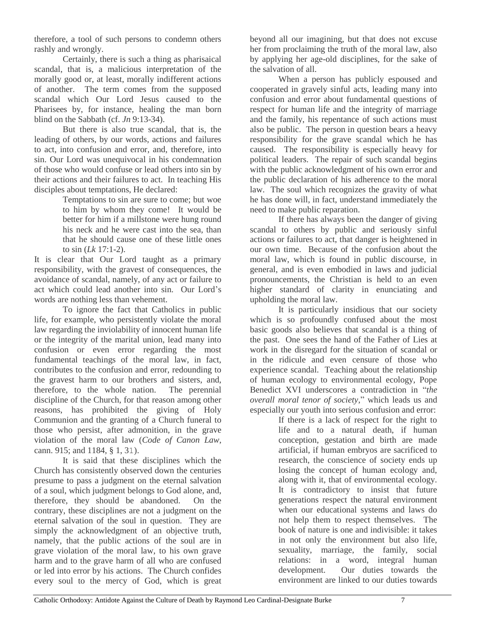therefore, a tool of such persons to condemn others rashly and wrongly.

Certainly, there is such a thing as pharisaical scandal, that is, a malicious interpretation of the morally good or, at least, morally indifferent actions of another. The term comes from the supposed scandal which Our Lord Jesus caused to the Pharisees by, for instance, healing the man born blind on the Sabbath (cf. *Jn* 9:13-34).

But there is also true scandal, that is, the leading of others, by our words, actions and failures to act, into confusion and error, and, therefore, into sin. Our Lord was unequivocal in his condemnation of those who would confuse or lead others into sin by their actions and their failures to act. In teaching His disciples about temptations, He declared:

Temptations to sin are sure to come; but woe to him by whom they come! It would be better for him if a millstone were hung round his neck and he were cast into the sea, than that he should cause one of these little ones to sin (*Lk* 17:1-2).

It is clear that Our Lord taught as a primary responsibility, with the gravest of consequences, the avoidance of scandal, namely, of any act or failure to act which could lead another into sin. Our Lord's words are nothing less than vehement.

To ignore the fact that Catholics in public life, for example, who persistently violate the moral law regarding the inviolability of innocent human life or the integrity of the marital union, lead many into confusion or even error regarding the most fundamental teachings of the moral law, in fact, contributes to the confusion and error, redounding to the gravest harm to our brothers and sisters, and, therefore, to the whole nation. The perennial discipline of the Church, for that reason among other reasons, has prohibited the giving of Holy Communion and the granting of a Church funeral to those who persist, after admonition, in the grave violation of the moral law (*Code of Canon Law*, cann. 915; and 1184, § 1, 31).

It is said that these disciplines which the Church has consistently observed down the centuries presume to pass a judgment on the eternal salvation of a soul, which judgment belongs to God alone, and, therefore, they should be abandoned. On the contrary, these disciplines are not a judgment on the eternal salvation of the soul in question. They are simply the acknowledgment of an objective truth, namely, that the public actions of the soul are in grave violation of the moral law, to his own grave harm and to the grave harm of all who are confused or led into error by his actions. The Church confides every soul to the mercy of God, which is great

beyond all our imagining, but that does not excuse her from proclaiming the truth of the moral law, also by applying her age-old disciplines, for the sake of the salvation of all.

When a person has publicly espoused and cooperated in gravely sinful acts, leading many into confusion and error about fundamental questions of respect for human life and the integrity of marriage and the family, his repentance of such actions must also be public. The person in question bears a heavy responsibility for the grave scandal which he has caused. The responsibility is especially heavy for political leaders. The repair of such scandal begins with the public acknowledgment of his own error and the public declaration of his adherence to the moral law. The soul which recognizes the gravity of what he has done will, in fact, understand immediately the need to make public reparation.

If there has always been the danger of giving scandal to others by public and seriously sinful actions or failures to act, that danger is heightened in our own time. Because of the confusion about the moral law, which is found in public discourse, in general, and is even embodied in laws and judicial pronouncements, the Christian is held to an even higher standard of clarity in enunciating and upholding the moral law.

It is particularly insidious that our society which is so profoundly confused about the most basic goods also believes that scandal is a thing of the past. One sees the hand of the Father of Lies at work in the disregard for the situation of scandal or in the ridicule and even censure of those who experience scandal. Teaching about the relationship of human ecology to environmental ecology, Pope Benedict XVI underscores a contradiction in "*the overall moral tenor of society*," which leads us and especially our youth into serious confusion and error:

If there is a lack of respect for the right to life and to a natural death, if human conception, gestation and birth are made artificial, if human embryos are sacrificed to research, the conscience of society ends up losing the concept of human ecology and, along with it, that of environmental ecology. It is contradictory to insist that future generations respect the natural environment when our educational systems and laws do not help them to respect themselves. The book of nature is one and indivisible: it takes in not only the environment but also life, sexuality, marriage, the family, social relations: in a word, integral human development. Our duties towards the environment are linked to our duties towards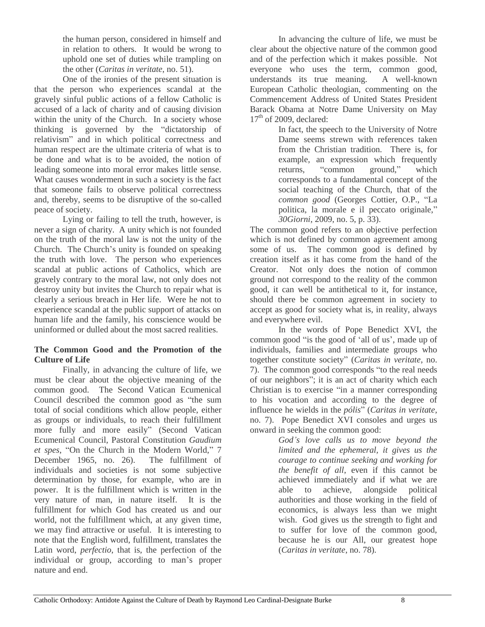the human person, considered in himself and in relation to others. It would be wrong to uphold one set of duties while trampling on the other (*Caritas in veritate*, no. 51).

One of the ironies of the present situation is that the person who experiences scandal at the gravely sinful public actions of a fellow Catholic is accused of a lack of charity and of causing division within the unity of the Church. In a society whose thinking is governed by the "dictatorship of relativism" and in which political correctness and human respect are the ultimate criteria of what is to be done and what is to be avoided, the notion of leading someone into moral error makes little sense. What causes wonderment in such a society is the fact that someone fails to observe political correctness and, thereby, seems to be disruptive of the so-called peace of society.

Lying or failing to tell the truth, however, is never a sign of charity. A unity which is not founded on the truth of the moral law is not the unity of the Church. The Church's unity is founded on speaking the truth with love. The person who experiences scandal at public actions of Catholics, which are gravely contrary to the moral law, not only does not destroy unity but invites the Church to repair what is clearly a serious breach in Her life. Were he not to experience scandal at the public support of attacks on human life and the family, his conscience would be uninformed or dulled about the most sacred realities.

### **The Common Good and the Promotion of the Culture of Life**

Finally, in advancing the culture of life, we must be clear about the objective meaning of the common good. The Second Vatican Ecumenical Council described the common good as "the sum total of social conditions which allow people, either as groups or individuals, to reach their fulfillment more fully and more easily" (Second Vatican Ecumenical Council, Pastoral Constitution *Gaudium et spes*, "On the Church in the Modern World," 7 December 1965, no. 26). The fulfillment of individuals and societies is not some subjective determination by those, for example, who are in power. It is the fulfillment which is written in the very nature of man, in nature itself. It is the fulfillment for which God has created us and our world, not the fulfillment which, at any given time, we may find attractive or useful. It is interesting to note that the English word, fulfillment, translates the Latin word, *perfectio*, that is, the perfection of the individual or group, according to man's proper nature and end.

In advancing the culture of life, we must be clear about the objective nature of the common good and of the perfection which it makes possible. Not everyone who uses the term, common good, understands its true meaning. A well-known European Catholic theologian, commenting on the Commencement Address of United States President Barack Obama at Notre Dame University on May  $17<sup>th</sup>$  of 2009, declared:

> In fact, the speech to the University of Notre Dame seems strewn with references taken from the Christian tradition. There is, for example, an expression which frequently returns, "common ground," which corresponds to a fundamental concept of the social teaching of the Church, that of the *common good* (Georges Cottier, O.P., "La politica, la morale e il peccato originale," *30Giorni*, 2009, no. 5, p. 33).

The common good refers to an objective perfection which is not defined by common agreement among some of us. The common good is defined by creation itself as it has come from the hand of the Creator. Not only does the notion of common ground not correspond to the reality of the common good, it can well be antithetical to it, for instance, should there be common agreement in society to accept as good for society what is, in reality, always and everywhere evil.

In the words of Pope Benedict XVI, the common good "is the good of 'all of us', made up of individuals, families and intermediate groups who together constitute society" (*Caritas in veritate*, no. 7). The common good corresponds "to the real needs of our neighbors"; it is an act of charity which each Christian is to exercise "in a manner corresponding to his vocation and according to the degree of influence he wields in the *pólis*" (*Caritas in veritate*, no. 7). Pope Benedict XVI consoles and urges us onward in seeking the common good:

*God's love calls us to move beyond the limited and the ephemeral, it gives us the courage to continue seeking and working for the benefit of all*, even if this cannot be achieved immediately and if what we are able to achieve, alongside political authorities and those working in the field of economics, is always less than we might wish. God gives us the strength to fight and to suffer for love of the common good, because he is our All, our greatest hope (*Caritas in veritate*, no. 78).